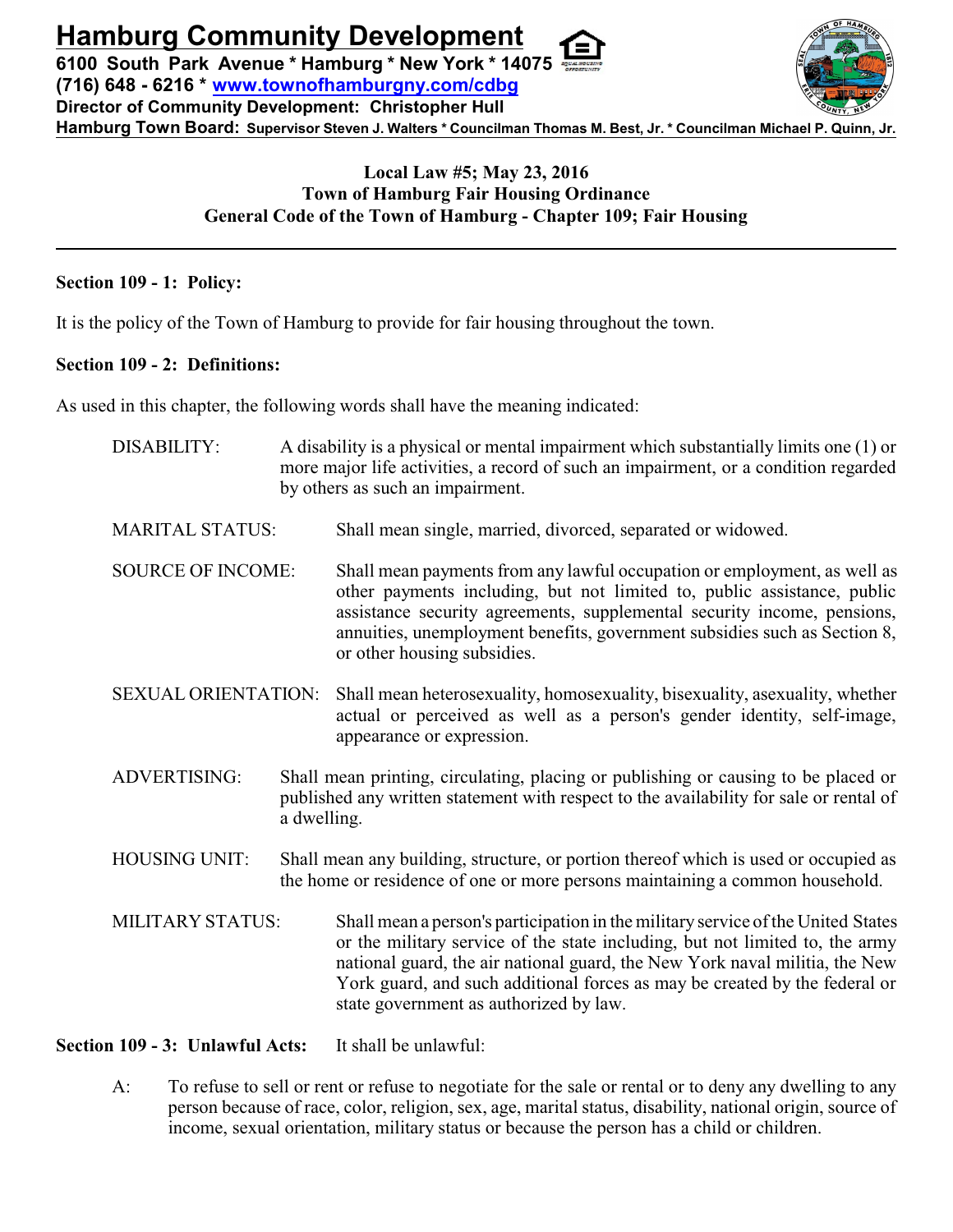**Hamburg Community Development**

**6100 South Park Avenue \* Hamburg \* New York \* 14075 (716) 648 - 6216 \* [www.townofhamburgny.com/cdbg](http://www.townofhamburgny.com/cdbg) Director of Community Development: Christopher Hull Hamburg Town Board: Supervisor Steven J. Walters \* Councilman Thomas M. Best, Jr. \* Councilman Michael P. Quinn, Jr.**



# **Local Law #5; May 23, 2016 Town of Hamburg Fair Housing Ordinance General Code of the Town of Hamburg - Chapter 109; Fair Housing**

### **Section 109 - 1: Policy:**

It is the policy of the Town of Hamburg to provide for fair housing throughout the town.

### **Section 109 - 2: Definitions:**

As used in this chapter, the following words shall have the meaning indicated:

| DISABILITY:              |                                                                                                                                                                     | A disability is a physical or mental impairment which substantially limits one (1) or<br>more major life activities, a record of such an impairment, or a condition regarded<br>by others as such an impairment.                                                                                                                                                        |  |
|--------------------------|---------------------------------------------------------------------------------------------------------------------------------------------------------------------|-------------------------------------------------------------------------------------------------------------------------------------------------------------------------------------------------------------------------------------------------------------------------------------------------------------------------------------------------------------------------|--|
| <b>MARITAL STATUS:</b>   |                                                                                                                                                                     | Shall mean single, married, divorced, separated or widowed.                                                                                                                                                                                                                                                                                                             |  |
| <b>SOURCE OF INCOME:</b> |                                                                                                                                                                     | Shall mean payments from any lawful occupation or employment, as well as<br>other payments including, but not limited to, public assistance, public<br>assistance security agreements, supplemental security income, pensions,<br>annuities, unemployment benefits, government subsidies such as Section 8,<br>or other housing subsidies.                              |  |
| SEXUAL ORIENTATION:      |                                                                                                                                                                     | Shall mean heterosexuality, homosexuality, bisexuality, asexuality, whether<br>actual or perceived as well as a person's gender identity, self-image,<br>appearance or expression.                                                                                                                                                                                      |  |
| <b>ADVERTISING:</b>      |                                                                                                                                                                     | Shall mean printing, circulating, placing or publishing or causing to be placed or<br>published any written statement with respect to the availability for sale or rental of<br>a dwelling.                                                                                                                                                                             |  |
| <b>HOUSING UNIT:</b>     | Shall mean any building, structure, or portion thereof which is used or occupied as<br>the home or residence of one or more persons maintaining a common household. |                                                                                                                                                                                                                                                                                                                                                                         |  |
| MILITARY STATUS:         |                                                                                                                                                                     | Shall mean a person's participation in the military service of the United States<br>or the military service of the state including, but not limited to, the army<br>national guard, the air national guard, the New York naval militia, the New<br>York guard, and such additional forces as may be created by the federal or<br>state government as authorized by law. |  |

# **Section 109 - 3: Unlawful Acts:** It shall be unlawful:

A: To refuse to sell or rent or refuse to negotiate for the sale or rental or to deny any dwelling to any person because of race, color, religion, sex, age, marital status, disability, national origin, source of income, sexual orientation, military status or because the person has a child or children.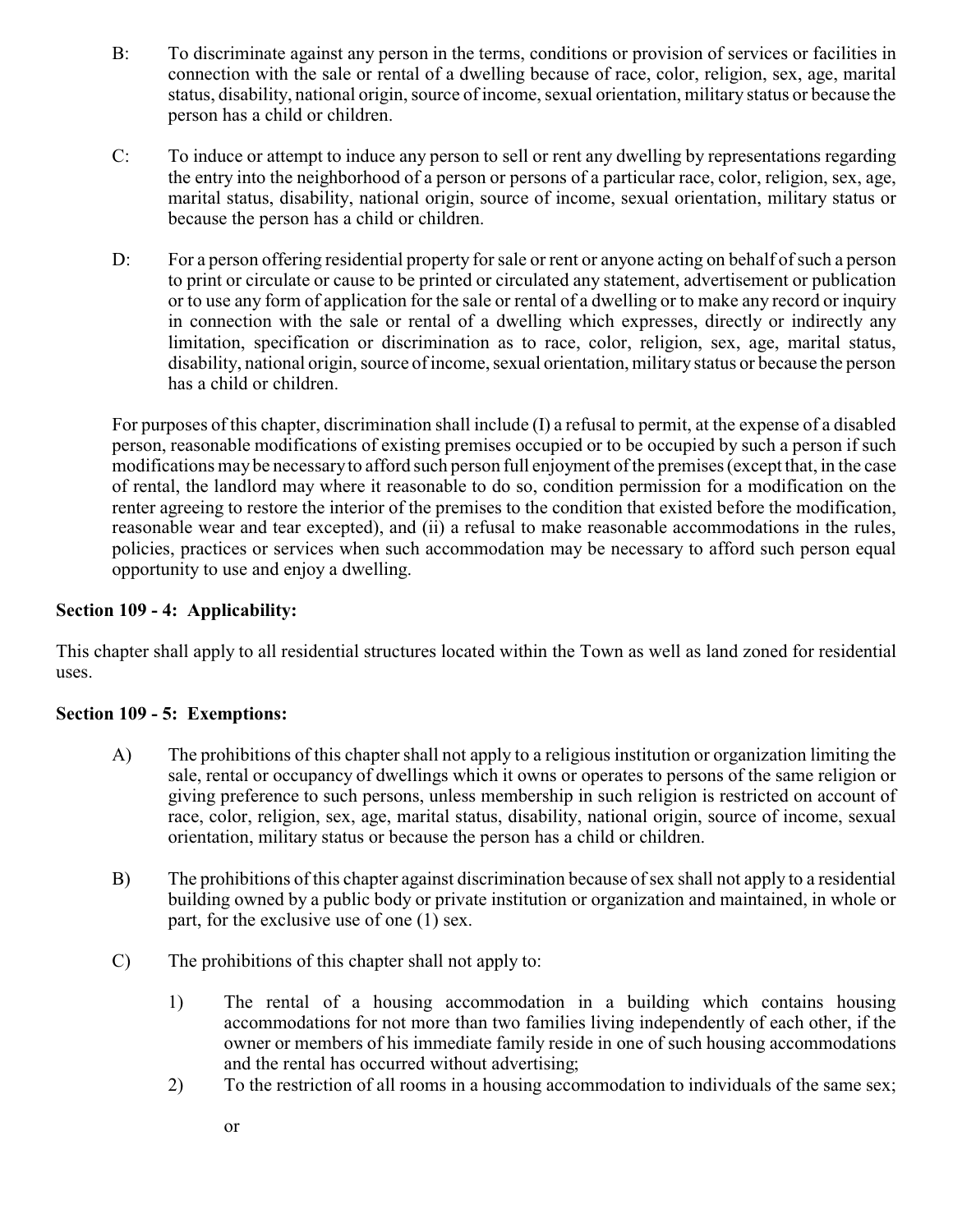- B: To discriminate against any person in the terms, conditions or provision of services or facilities in connection with the sale or rental of a dwelling because of race, color, religion, sex, age, marital status, disability, national origin, source of income, sexual orientation, military status or because the person has a child or children.
- C: To induce or attempt to induce any person to sell or rent any dwelling by representations regarding the entry into the neighborhood of a person or persons of a particular race, color, religion, sex, age, marital status, disability, national origin, source of income, sexual orientation, military status or because the person has a child or children.
- D: For a person offering residential property for sale or rent or anyone acting on behalf of such a person to print or circulate or cause to be printed or circulated any statement, advertisement or publication or to use any form of application for the sale or rental of a dwelling or to make any record or inquiry in connection with the sale or rental of a dwelling which expresses, directly or indirectly any limitation, specification or discrimination as to race, color, religion, sex, age, marital status, disability, national origin, source of income, sexual orientation, military status or because the person has a child or children.

For purposes of this chapter, discrimination shall include (I) a refusal to permit, at the expense of a disabled person, reasonable modifications of existing premises occupied or to be occupied by such a person if such modifications may be necessaryto afford such person full enjoyment of the premises (except that, in the case of rental, the landlord may where it reasonable to do so, condition permission for a modification on the renter agreeing to restore the interior of the premises to the condition that existed before the modification, reasonable wear and tear excepted), and (ii) a refusal to make reasonable accommodations in the rules, policies, practices or services when such accommodation may be necessary to afford such person equal opportunity to use and enjoy a dwelling.

## **Section 109 - 4: Applicability:**

This chapter shall apply to all residential structures located within the Town as well as land zoned for residential uses.

### **Section 109 - 5: Exemptions:**

- A) The prohibitions of this chapter shall not apply to a religious institution or organization limiting the sale, rental or occupancy of dwellings which it owns or operates to persons of the same religion or giving preference to such persons, unless membership in such religion is restricted on account of race, color, religion, sex, age, marital status, disability, national origin, source of income, sexual orientation, military status or because the person has a child or children.
- B) The prohibitions of this chapter against discrimination because of sex shall not apply to a residential building owned by a public body or private institution or organization and maintained, in whole or part, for the exclusive use of one (1) sex.
- C) The prohibitions of this chapter shall not apply to:
	- 1) The rental of a housing accommodation in a building which contains housing accommodations for not more than two families living independently of each other, if the owner or members of his immediate family reside in one of such housing accommodations and the rental has occurred without advertising;
	- 2) To the restriction of all rooms in a housing accommodation to individuals of the same sex;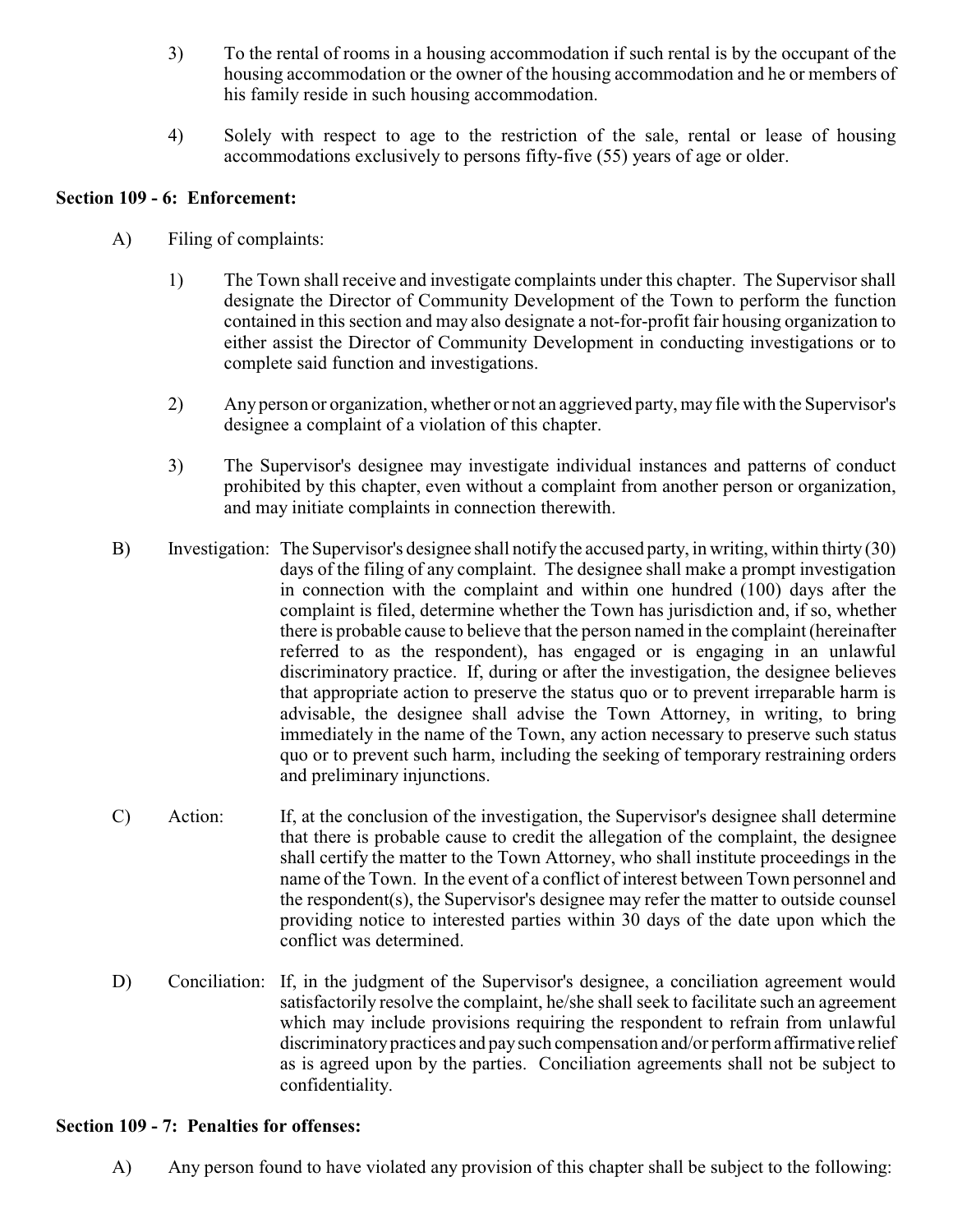- 3) To the rental of rooms in a housing accommodation if such rental is by the occupant of the housing accommodation or the owner of the housing accommodation and he or members of his family reside in such housing accommodation.
- 4) Solely with respect to age to the restriction of the sale, rental or lease of housing accommodations exclusively to persons fifty-five (55) years of age or older.

### **Section 109 - 6: Enforcement:**

- A) Filing of complaints:
	- 1) The Town shall receive and investigate complaints under this chapter. The Supervisor shall designate the Director of Community Development of the Town to perform the function contained in this section and may also designate a not-for-profit fair housing organization to either assist the Director of Community Development in conducting investigations or to complete said function and investigations.
	- 2) Any person or organization, whether or not an aggrieved party, may file with the Supervisor's designee a complaint of a violation of this chapter.
	- 3) The Supervisor's designee may investigate individual instances and patterns of conduct prohibited by this chapter, even without a complaint from another person or organization, and may initiate complaints in connection therewith.
- B) Investigation: The Supervisor's designee shall notify the accused party, in writing, within thirty (30) days of the filing of any complaint. The designee shall make a prompt investigation in connection with the complaint and within one hundred (100) days after the complaint is filed, determine whether the Town has jurisdiction and, if so, whether there is probable cause to believe that the person named in the complaint (hereinafter referred to as the respondent), has engaged or is engaging in an unlawful discriminatory practice. If, during or after the investigation, the designee believes that appropriate action to preserve the status quo or to prevent irreparable harm is advisable, the designee shall advise the Town Attorney, in writing, to bring immediately in the name of the Town, any action necessary to preserve such status quo or to prevent such harm, including the seeking of temporary restraining orders and preliminary injunctions.
- C) Action: If, at the conclusion of the investigation, the Supervisor's designee shall determine that there is probable cause to credit the allegation of the complaint, the designee shall certify the matter to the Town Attorney, who shall institute proceedings in the name of the Town. In the event of a conflict of interest between Town personnel and the respondent(s), the Supervisor's designee may refer the matter to outside counsel providing notice to interested parties within 30 days of the date upon which the conflict was determined.
- D) Conciliation: If, in the judgment of the Supervisor's designee, a conciliation agreement would satisfactorily resolve the complaint, he/she shall seek to facilitate such an agreement which may include provisions requiring the respondent to refrain from unlawful discriminatorypractices and paysuch compensation and/or perform affirmative relief as is agreed upon by the parties. Conciliation agreements shall not be subject to confidentiality.

#### **Section 109 - 7: Penalties for offenses:**

A) Any person found to have violated any provision of this chapter shall be subject to the following: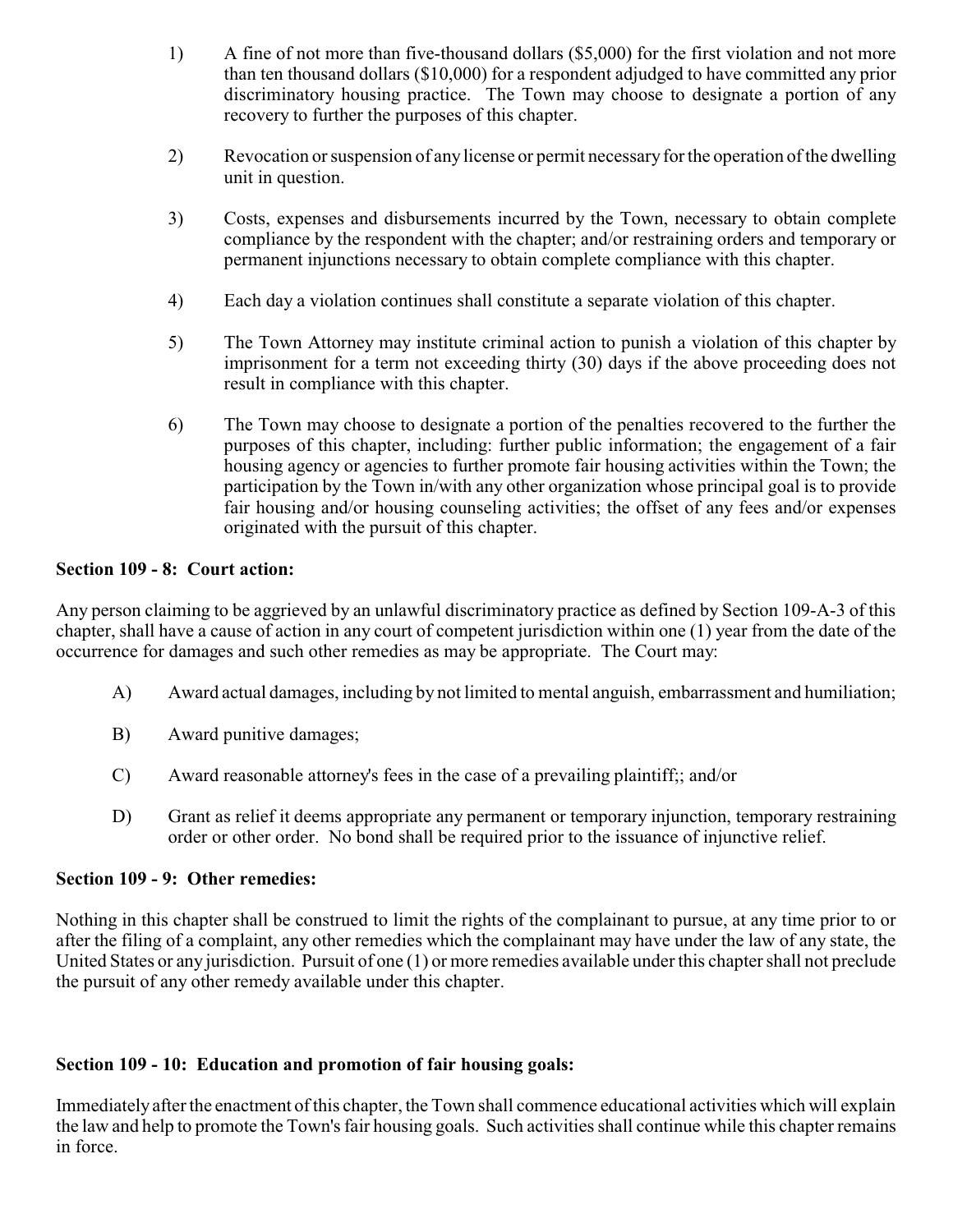- 1) A fine of not more than five-thousand dollars (\$5,000) for the first violation and not more than ten thousand dollars (\$10,000) for a respondent adjudged to have committed any prior discriminatory housing practice. The Town may choose to designate a portion of any recovery to further the purposes of this chapter.
- 2) Revocation or suspension of any license or permit necessaryfor the operation of the dwelling unit in question.
- 3) Costs, expenses and disbursements incurred by the Town, necessary to obtain complete compliance by the respondent with the chapter; and/or restraining orders and temporary or permanent injunctions necessary to obtain complete compliance with this chapter.
- 4) Each day a violation continues shall constitute a separate violation of this chapter.
- 5) The Town Attorney may institute criminal action to punish a violation of this chapter by imprisonment for a term not exceeding thirty (30) days if the above proceeding does not result in compliance with this chapter.
- 6) The Town may choose to designate a portion of the penalties recovered to the further the purposes of this chapter, including: further public information; the engagement of a fair housing agency or agencies to further promote fair housing activities within the Town; the participation by the Town in/with any other organization whose principal goal is to provide fair housing and/or housing counseling activities; the offset of any fees and/or expenses originated with the pursuit of this chapter.

# **Section 109 - 8: Court action:**

Any person claiming to be aggrieved by an unlawful discriminatory practice as defined by Section 109-A-3 of this chapter, shall have a cause of action in any court of competent jurisdiction within one (1) year from the date of the occurrence for damages and such other remedies as may be appropriate. The Court may:

- A) Award actual damages, including by not limited to mental anguish, embarrassment and humiliation;
- B) Award punitive damages;
- C) Award reasonable attorney's fees in the case of a prevailing plaintiff;; and/or
- D) Grant as relief it deems appropriate any permanent or temporary injunction, temporary restraining order or other order. No bond shall be required prior to the issuance of injunctive relief.

# **Section 109 - 9: Other remedies:**

Nothing in this chapter shall be construed to limit the rights of the complainant to pursue, at any time prior to or after the filing of a complaint, any other remedies which the complainant may have under the law of any state, the United States or any jurisdiction. Pursuit of one (1) or more remedies available under this chapter shall not preclude the pursuit of any other remedy available under this chapter.

# **Section 109 - 10: Education and promotion of fair housing goals:**

Immediately after the enactment of this chapter, the Town shall commence educational activities which will explain the law and help to promote the Town's fair housing goals. Such activities shall continue while this chapter remains in force.